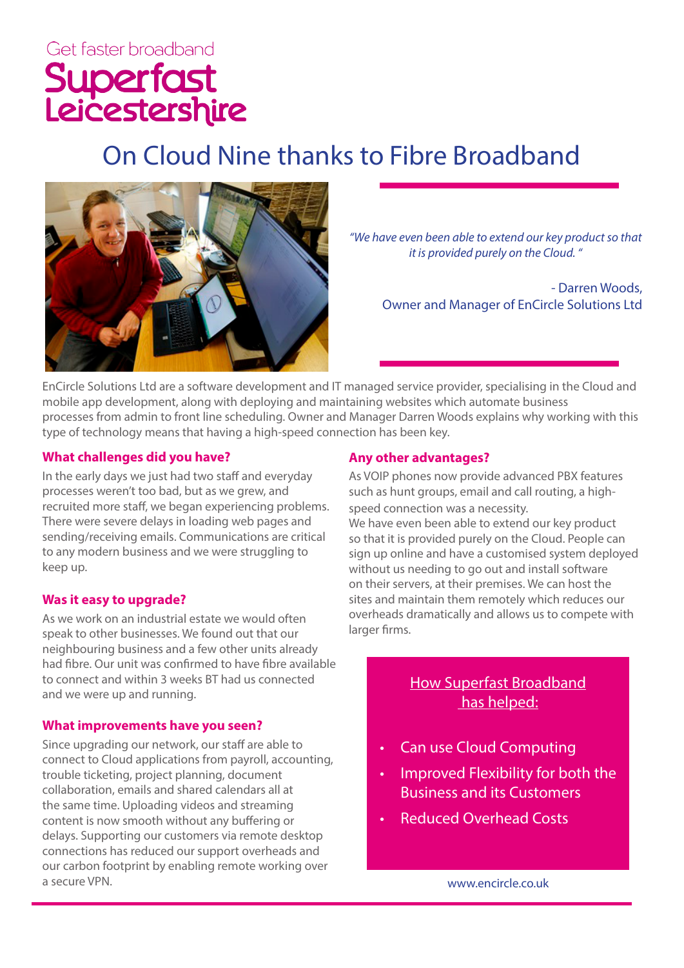# On Cloud Nine thanks to Fibre Broadband



*"We have even been able to extend our key product so that it is provided purely on the Cloud. "*

> - Darren Woods, Owner and Manager of EnCircle Solutions Ltd

EnCircle Solutions Ltd are a software development and IT managed service provider, specialising in the Cloud and mobile app development, along with deploying and maintaining websites which automate business processes from admin to front line scheduling. Owner and Manager Darren Woods explains why working with this type of technology means that having a high-speed connection has been key.

#### **What challenges did you have?**

In the early days we just had two staff and everyday processes weren't too bad, but as we grew, and recruited more staff, we began experiencing problems. There were severe delays in loading web pages and sending/receiving emails. Communications are critical to any modern business and we were struggling to keep up.

## **Was it easy to upgrade?**

As we work on an industrial estate we would often speak to other businesses. We found out that our neighbouring business and a few other units already had fibre. Our unit was confirmed to have fibre available to connect and within 3 weeks BT had us connected and we were up and running.

#### **What improvements have you seen?**

Since upgrading our network, our staff are able to connect to Cloud applications from payroll, accounting, trouble ticketing, project planning, document collaboration, emails and shared calendars all at the same time. Uploading videos and streaming content is now smooth without any buffering or delays. Supporting our customers via remote desktop connections has reduced our support overheads and our carbon footprint by enabling remote working over a secure VPN.

#### **Any other advantages?**

As VOIP phones now provide advanced PBX features such as hunt groups, email and call routing, a highspeed connection was a necessity.

We have even been able to extend our key product so that it is provided purely on the Cloud. People can sign up online and have a customised system deployed without us needing to go out and install software on their servers, at their premises. We can host the sites and maintain them remotely which reduces our overheads dramatically and allows us to compete with larger firms.

# How Superfast Broadband has helped:

- Can use Cloud Computing
- Improved Flexibility for both the Business and its Customers
- Reduced Overhead Costs

www.encircle.co.uk